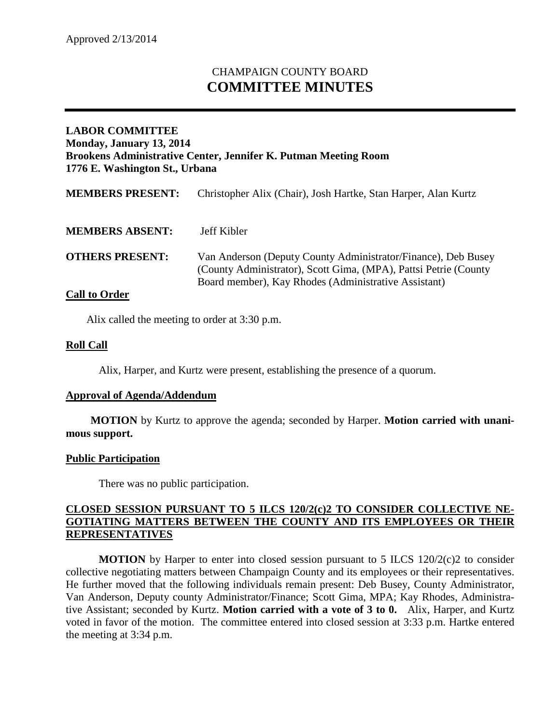# CHAMPAIGN COUNTY BOARD **COMMITTEE MINUTES**

## **LABOR COMMITTEE Monday, January 13, 2014 Brookens Administrative Center, Jennifer K. Putman Meeting Room 1776 E. Washington St., Urbana**

| <b>MEMBERS PRESENT:</b> | Christopher Alix (Chair), Josh Hartke, Stan Harper, Alan Kurtz                                                                                                                            |
|-------------------------|-------------------------------------------------------------------------------------------------------------------------------------------------------------------------------------------|
| <b>MEMBERS ABSENT:</b>  | Jeff Kibler                                                                                                                                                                               |
| <b>OTHERS PRESENT:</b>  | Van Anderson (Deputy County Administrator/Finance), Deb Busey<br>(County Administrator), Scott Gima, (MPA), Pattsi Petrie (County<br>Board member), Kay Rhodes (Administrative Assistant) |

### **Call to Order**

Alix called the meeting to order at 3:30 p.m.

### **Roll Call**

Alix, Harper, and Kurtz were present, establishing the presence of a quorum.

#### **Approval of Agenda/Addendum**

**MOTION** by Kurtz to approve the agenda; seconded by Harper. **Motion carried with unanimous support.**

#### **Public Participation**

There was no public participation.

## **CLOSED SESSION PURSUANT TO 5 ILCS 120/2(c)2 TO CONSIDER COLLECTIVE NE-GOTIATING MATTERS BETWEEN THE COUNTY AND ITS EMPLOYEES OR THEIR REPRESENTATIVES**

**MOTION** by Harper to enter into closed session pursuant to 5 ILCS 120/2(c)2 to consider collective negotiating matters between Champaign County and its employees or their representatives. He further moved that the following individuals remain present: Deb Busey, County Administrator, Van Anderson, Deputy county Administrator/Finance; Scott Gima, MPA; Kay Rhodes, Administrative Assistant; seconded by Kurtz. **Motion carried with a vote of 3 to 0.** Alix, Harper, and Kurtz voted in favor of the motion. The committee entered into closed session at 3:33 p.m. Hartke entered the meeting at 3:34 p.m.